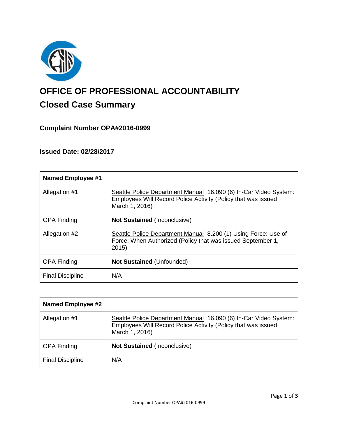

# **OFFICE OF PROFESSIONAL ACCOUNTABILITY Closed Case Summary**

# **Complaint Number OPA#2016-0999**

# **Issued Date: 02/28/2017**

| <b>Named Employee #1</b> |                                                                                                                                                     |
|--------------------------|-----------------------------------------------------------------------------------------------------------------------------------------------------|
| Allegation #1            | Seattle Police Department Manual 16.090 (6) In-Car Video System:<br>Employees Will Record Police Activity (Policy that was issued<br>March 1, 2016) |
| <b>OPA Finding</b>       | <b>Not Sustained (Inconclusive)</b>                                                                                                                 |
| Allegation #2            | Seattle Police Department Manual 8.200 (1) Using Force: Use of<br>Force: When Authorized (Policy that was issued September 1,<br>2015)              |
| <b>OPA Finding</b>       | <b>Not Sustained (Unfounded)</b>                                                                                                                    |
| <b>Final Discipline</b>  | N/A                                                                                                                                                 |

| <b>Named Employee #2</b> |                                                                                                                                                     |
|--------------------------|-----------------------------------------------------------------------------------------------------------------------------------------------------|
| Allegation #1            | Seattle Police Department Manual 16.090 (6) In-Car Video System:<br>Employees Will Record Police Activity (Policy that was issued<br>March 1, 2016) |
| <b>OPA Finding</b>       | <b>Not Sustained (Inconclusive)</b>                                                                                                                 |
| <b>Final Discipline</b>  | N/A                                                                                                                                                 |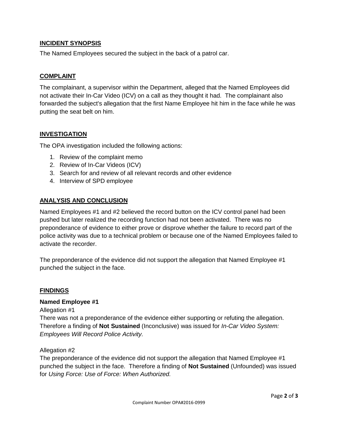## **INCIDENT SYNOPSIS**

The Named Employees secured the subject in the back of a patrol car.

### **COMPLAINT**

The complainant, a supervisor within the Department, alleged that the Named Employees did not activate their In-Car Video (ICV) on a call as they thought it had. The complainant also forwarded the subject's allegation that the first Name Employee hit him in the face while he was putting the seat belt on him.

### **INVESTIGATION**

The OPA investigation included the following actions:

- 1. Review of the complaint memo
- 2. Review of In-Car Videos (ICV)
- 3. Search for and review of all relevant records and other evidence
- 4. Interview of SPD employee

## **ANALYSIS AND CONCLUSION**

Named Employees #1 and #2 believed the record button on the ICV control panel had been pushed but later realized the recording function had not been activated. There was no preponderance of evidence to either prove or disprove whether the failure to record part of the police activity was due to a technical problem or because one of the Named Employees failed to activate the recorder.

The preponderance of the evidence did not support the allegation that Named Employee #1 punched the subject in the face.

#### **FINDINGS**

#### **Named Employee #1**

Allegation #1

There was not a preponderance of the evidence either supporting or refuting the allegation. Therefore a finding of **Not Sustained** (Inconclusive) was issued for *In-Car Video System: Employees Will Record Police Activity.*

#### Allegation #2

The preponderance of the evidence did not support the allegation that Named Employee #1 punched the subject in the face. Therefore a finding of **Not Sustained** (Unfounded) was issued for *Using Force: Use of Force: When Authorized.*